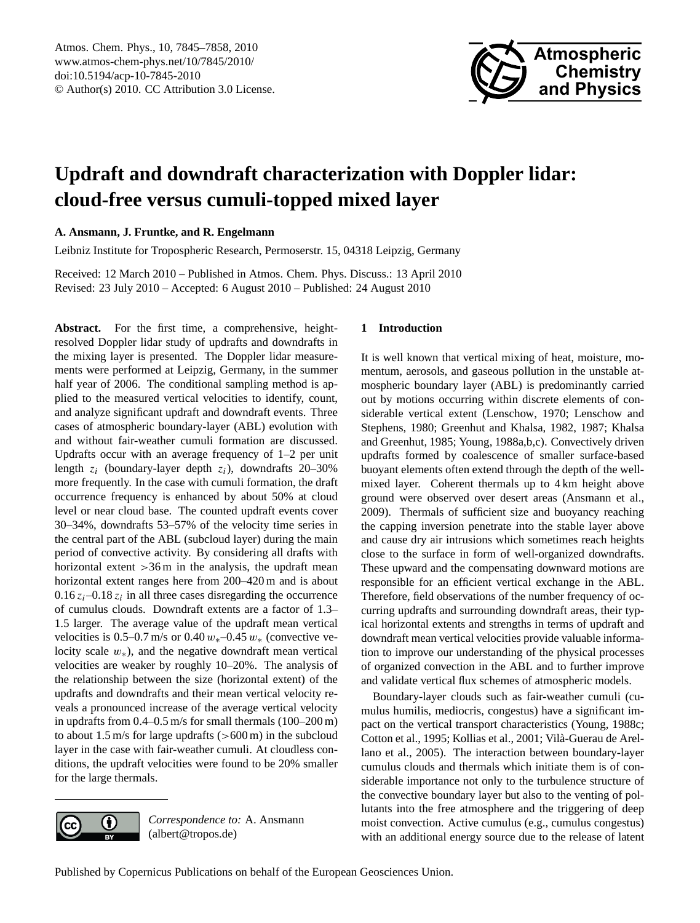

# <span id="page-0-0"></span>**Updraft and downdraft characterization with Doppler lidar: cloud-free versus cumuli-topped mixed layer**

**A. Ansmann, J. Fruntke, and R. Engelmann**

Leibniz Institute for Tropospheric Research, Permoserstr. 15, 04318 Leipzig, Germany

Received: 12 March 2010 – Published in Atmos. Chem. Phys. Discuss.: 13 April 2010 Revised: 23 July 2010 – Accepted: 6 August 2010 – Published: 24 August 2010

**Abstract.** For the first time, a comprehensive, heightresolved Doppler lidar study of updrafts and downdrafts in the mixing layer is presented. The Doppler lidar measurements were performed at Leipzig, Germany, in the summer half year of 2006. The conditional sampling method is applied to the measured vertical velocities to identify, count, and analyze significant updraft and downdraft events. Three cases of atmospheric boundary-layer (ABL) evolution with and without fair-weather cumuli formation are discussed. Updrafts occur with an average frequency of 1–2 per unit length  $z_i$  (boundary-layer depth  $z_i$ ), downdrafts 20–30% more frequently. In the case with cumuli formation, the draft occurrence frequency is enhanced by about 50% at cloud level or near cloud base. The counted updraft events cover 30–34%, downdrafts 53–57% of the velocity time series in the central part of the ABL (subcloud layer) during the main period of convective activity. By considering all drafts with horizontal extent > 36 m in the analysis, the updraft mean horizontal extent ranges here from 200–420 m and is about  $0.16 z_i - 0.18 z_i$  in all three cases disregarding the occurrence of cumulus clouds. Downdraft extents are a factor of 1.3– 1.5 larger. The average value of the updraft mean vertical velocities is 0.5–0.7 m/s or 0.40  $w_*$ –0.45  $w_*$  (convective velocity scale  $w_$ <sup>\*</sup>), and the negative downdraft mean vertical velocities are weaker by roughly 10–20%. The analysis of the relationship between the size (horizontal extent) of the updrafts and downdrafts and their mean vertical velocity reveals a pronounced increase of the average vertical velocity in updrafts from 0.4–0.5 m/s for small thermals (100–200 m) to about 1.5 m/s for large updrafts  $(>600 \text{ m})$  in the subcloud layer in the case with fair-weather cumuli. At cloudless conditions, the updraft velocities were found to be 20% smaller for the large thermals.



*Correspondence to:* A. Ansmann (albert@tropos.de)

### **1 Introduction**

It is well known that vertical mixing of heat, moisture, momentum, aerosols, and gaseous pollution in the unstable atmospheric boundary layer (ABL) is predominantly carried out by motions occurring within discrete elements of considerable vertical extent [\(Lenschow,](#page-12-0) [1970;](#page-12-0) [Lenschow and](#page-12-1) [Stephens,](#page-12-1) [1980;](#page-12-1) [Greenhut and Khalsa,](#page-12-2) [1982,](#page-12-2) [1987;](#page-12-3) [Khalsa](#page-12-4) [and Greenhut,](#page-12-4) [1985;](#page-12-4) [Young,](#page-13-0) [1988a,](#page-13-0)[b,](#page-13-1)[c\)](#page-13-2). Convectively driven updrafts formed by coalescence of smaller surface-based buoyant elements often extend through the depth of the wellmixed layer. Coherent thermals up to 4 km height above ground were observed over desert areas [\(Ansmann et al.,](#page-11-0) [2009\)](#page-11-0). Thermals of sufficient size and buoyancy reaching the capping inversion penetrate into the stable layer above and cause dry air intrusions which sometimes reach heights close to the surface in form of well-organized downdrafts. These upward and the compensating downward motions are responsible for an efficient vertical exchange in the ABL. Therefore, field observations of the number frequency of occurring updrafts and surrounding downdraft areas, their typical horizontal extents and strengths in terms of updraft and downdraft mean vertical velocities provide valuable information to improve our understanding of the physical processes of organized convection in the ABL and to further improve and validate vertical flux schemes of atmospheric models.

Boundary-layer clouds such as fair-weather cumuli (cumulus humilis, mediocris, congestus) have a significant impact on the vertical transport characteristics [\(Young,](#page-13-2) [1988c;](#page-13-2) [Cotton et al.,](#page-11-1) [1995;](#page-11-1) [Kollias et al.,](#page-12-5) [2001;](#page-12-5) Vilà-Guerau de Arel[lano et al.,](#page-12-6) [2005\)](#page-12-6). The interaction between boundary-layer cumulus clouds and thermals which initiate them is of considerable importance not only to the turbulence structure of the convective boundary layer but also to the venting of pollutants into the free atmosphere and the triggering of deep moist convection. Active cumulus (e.g., cumulus congestus) with an additional energy source due to the release of latent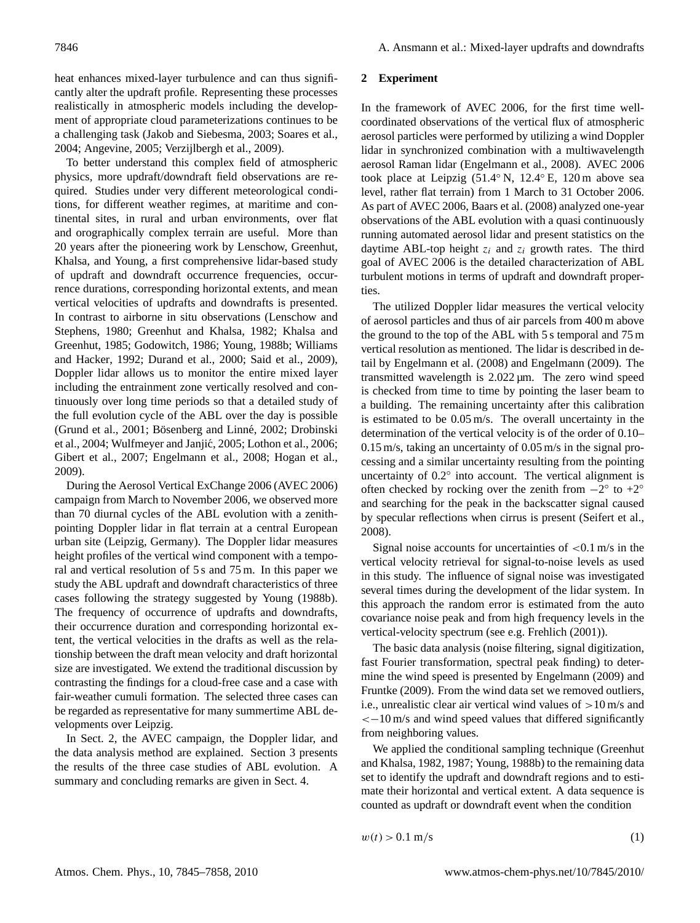heat enhances mixed-layer turbulence and can thus significantly alter the updraft profile. Representing these processes realistically in atmospheric models including the development of appropriate cloud parameterizations continues to be a challenging task [\(Jakob and Siebesma,](#page-12-7) [2003;](#page-12-7) [Soares et al.,](#page-12-8) [2004;](#page-12-8) [Angevine,](#page-11-2) [2005;](#page-11-2) [Verzijlbergh et al.,](#page-12-9) [2009\)](#page-12-9).

To better understand this complex field of atmospheric physics, more updraft/downdraft field observations are required. Studies under very different meteorological conditions, for different weather regimes, at maritime and continental sites, in rural and urban environments, over flat and orographically complex terrain are useful. More than 20 years after the pioneering work by Lenschow, Greenhut, Khalsa, and Young, a first comprehensive lidar-based study of updraft and downdraft occurrence frequencies, occurrence durations, corresponding horizontal extents, and mean vertical velocities of updrafts and downdrafts is presented. In contrast to airborne in situ observations [\(Lenschow and](#page-12-1) [Stephens,](#page-12-1) [1980;](#page-12-1) [Greenhut and Khalsa,](#page-12-2) [1982;](#page-12-2) [Khalsa and](#page-12-4) [Greenhut,](#page-12-4) [1985;](#page-12-4) [Godowitch,](#page-12-10) [1986;](#page-12-10) [Young,](#page-13-1) [1988b;](#page-13-1) [Williams](#page-13-3) [and Hacker,](#page-13-3) [1992;](#page-13-3) [Durand et al.,](#page-12-11) [2000;](#page-12-11) [Said et al.,](#page-12-12) [2009\)](#page-12-12), Doppler lidar allows us to monitor the entire mixed layer including the entrainment zone vertically resolved and continuously over long time periods so that a detailed study of the full evolution cycle of the ABL over the day is possible [\(Grund et al.,](#page-12-13) [2001;](#page-12-13) Bösenberg and Linné, [2002;](#page-11-3) [Drobinski](#page-12-14) [et al.,](#page-12-14) [2004;](#page-12-14) Wulfmeyer and Janjić, [2005;](#page-13-4) [Lothon et al.,](#page-12-15) [2006;](#page-12-15) [Gibert et al.,](#page-12-16) [2007;](#page-12-16) [Engelmann et al.,](#page-12-17) [2008;](#page-12-17) [Hogan et al.,](#page-12-18) [2009\)](#page-12-18).

During the Aerosol Vertical ExChange 2006 (AVEC 2006) campaign from March to November 2006, we observed more than 70 diurnal cycles of the ABL evolution with a zenithpointing Doppler lidar in flat terrain at a central European urban site (Leipzig, Germany). The Doppler lidar measures height profiles of the vertical wind component with a temporal and vertical resolution of 5 s and 75 m. In this paper we study the ABL updraft and downdraft characteristics of three cases following the strategy suggested by [Young](#page-13-1) [\(1988b\)](#page-13-1). The frequency of occurrence of updrafts and downdrafts, their occurrence duration and corresponding horizontal extent, the vertical velocities in the drafts as well as the relationship between the draft mean velocity and draft horizontal size are investigated. We extend the traditional discussion by contrasting the findings for a cloud-free case and a case with fair-weather cumuli formation. The selected three cases can be regarded as representative for many summertime ABL developments over Leipzig.

In Sect. 2, the AVEC campaign, the Doppler lidar, and the data analysis method are explained. Section 3 presents the results of the three case studies of ABL evolution. A summary and concluding remarks are given in Sect. 4.

#### **2 Experiment**

In the framework of AVEC 2006, for the first time wellcoordinated observations of the vertical flux of atmospheric aerosol particles were performed by utilizing a wind Doppler lidar in synchronized combination with a multiwavelength aerosol Raman lidar [\(Engelmann et al.,](#page-12-17) [2008\)](#page-12-17). AVEC 2006 took place at Leipzig (51.4◦ N, 12.4◦ E, 120 m above sea level, rather flat terrain) from 1 March to 31 October 2006. As part of AVEC 2006, [Baars et al.](#page-11-4) [\(2008\)](#page-11-4) analyzed one-year observations of the ABL evolution with a quasi continuously running automated aerosol lidar and present statistics on the daytime ABL-top height  $z_i$  and  $z_i$  growth rates. The third goal of AVEC 2006 is the detailed characterization of ABL turbulent motions in terms of updraft and downdraft properties.

The utilized Doppler lidar measures the vertical velocity of aerosol particles and thus of air parcels from 400 m above the ground to the top of the ABL with 5 s temporal and 75 m vertical resolution as mentioned. The lidar is described in detail by [Engelmann et al.](#page-12-17) [\(2008\)](#page-12-17) and [Engelmann](#page-12-19) [\(2009\)](#page-12-19). The transmitted wavelength is 2.022 µm. The zero wind speed is checked from time to time by pointing the laser beam to a building. The remaining uncertainty after this calibration is estimated to be 0.05 m/s. The overall uncertainty in the determination of the vertical velocity is of the order of 0.10– 0.15 m/s, taking an uncertainty of 0.05 m/s in the signal processing and a similar uncertainty resulting from the pointing uncertainty of 0.2° into account. The vertical alignment is often checked by rocking over the zenith from  $-2^\circ$  to  $+2^\circ$ and searching for the peak in the backscatter signal caused by specular reflections when cirrus is present [\(Seifert et al.,](#page-12-20) [2008\)](#page-12-20).

Signal noise accounts for uncertainties of  $< 0.1$  m/s in the vertical velocity retrieval for signal-to-noise levels as used in this study. The influence of signal noise was investigated several times during the development of the lidar system. In this approach the random error is estimated from the auto covariance noise peak and from high frequency levels in the vertical-velocity spectrum (see e.g. [Frehlich](#page-12-21) [\(2001\)](#page-12-21)).

The basic data analysis (noise filtering, signal digitization, fast Fourier transformation, spectral peak finding) to determine the wind speed is presented by [Engelmann](#page-12-19) [\(2009\)](#page-12-19) and [Fruntke](#page-12-22) [\(2009\)](#page-12-22). From the wind data set we removed outliers, i.e., unrealistic clear air vertical wind values of  $>10 \text{ m/s}$  and <−10 m/s and wind speed values that differed significantly from neighboring values.

We applied the conditional sampling technique [\(Greenhut](#page-12-2) [and Khalsa,](#page-12-2) [1982,](#page-12-2) [1987;](#page-12-3) [Young,](#page-13-1) [1988b\)](#page-13-1) to the remaining data set to identify the updraft and downdraft regions and to estimate their horizontal and vertical extent. A data sequence is counted as updraft or downdraft event when the condition

<span id="page-1-0"></span> $w(t) > 0.1 \text{ m/s}$  (1)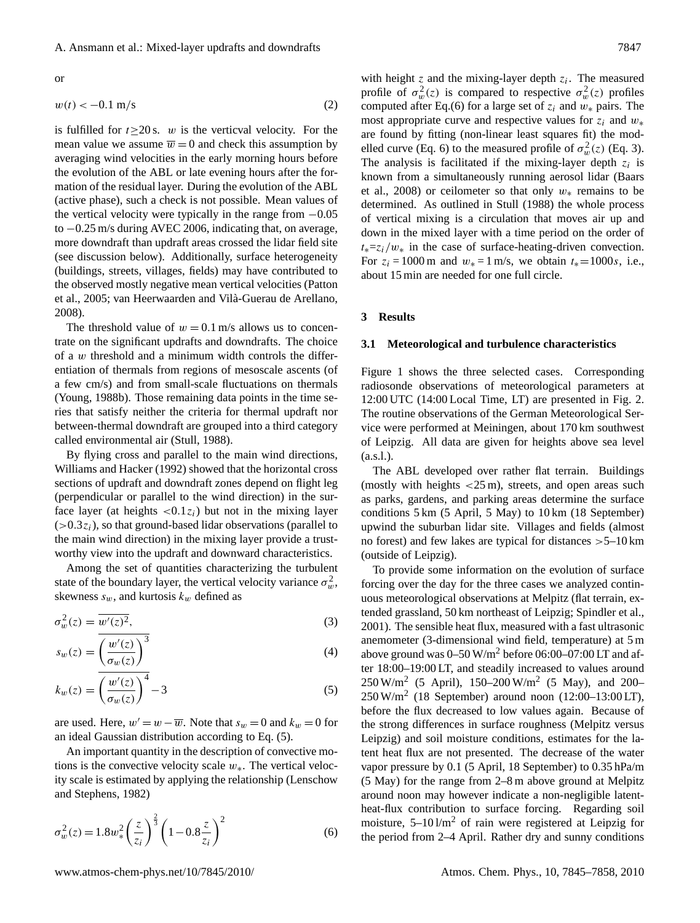or

<span id="page-2-2"></span>
$$
w(t) < -0.1 \, \text{m/s} \tag{2}
$$

is fulfilled for  $t \ge 20$  s. w is the verticval velocity. For the mean value we assume  $\overline{w} = 0$  and check this assumption by averaging wind velocities in the early morning hours before the evolution of the ABL or late evening hours after the formation of the residual layer. During the evolution of the ABL (active phase), such a check is not possible. Mean values of the vertical velocity were typically in the range from  $-0.05$ to −0.25 m/s during AVEC 2006, indicating that, on average, more downdraft than updraft areas crossed the lidar field site (see discussion below). Additionally, surface heterogeneity (buildings, streets, villages, fields) may have contributed to the observed mostly negative mean vertical velocities [\(Patton](#page-12-23) [et al.,](#page-12-23) [2005;](#page-12-23) van Heerwaarden and Vilà-Guerau de Arellano, [2008\)](#page-12-24).

The threshold value of  $w = 0.1$  m/s allows us to concentrate on the significant updrafts and downdrafts. The choice of a  $w$  threshold and a minimum width controls the differentiation of thermals from regions of mesoscale ascents (of a few cm/s) and from small-scale fluctuations on thermals [\(Young,](#page-13-1) [1988b\)](#page-13-1). Those remaining data points in the time series that satisfy neither the criteria for thermal updraft nor between-thermal downdraft are grouped into a third category called environmental air [\(Stull,](#page-12-25) [1988\)](#page-12-25).

By flying cross and parallel to the main wind directions, [Williams and Hacker](#page-13-3) [\(1992\)](#page-13-3) showed that the horizontal cross sections of updraft and downdraft zones depend on flight leg (perpendicular or parallel to the wind direction) in the surface layer (at heights  $\langle 0.1z_i \rangle$ ) but not in the mixing layer  $(>0.3z_i)$ , so that ground-based lidar observations (parallel to the main wind direction) in the mixing layer provide a trustworthy view into the updraft and downward characteristics.

Among the set of quantities characterizing the turbulent state of the boundary layer, the vertical velocity variance  $\sigma_w^2$ , skewness  $s_w$ , and kurtosis  $k_w$  defined as

$$
\sigma_w^2(z) = \overline{w'(z)^2},\tag{3}
$$

<span id="page-2-0"></span>
$$
s_w(z) = \left(\frac{w'(z)}{\sigma_w(z)}\right)^3\tag{4}
$$

$$
k_w(z) = \left(\frac{w'(z)}{\sigma_w(z)}\right)^4 - 3\tag{5}
$$

are used. Here,  $w' = w - \overline{w}$ . Note that  $s_w = 0$  and  $k_w = 0$  for an ideal Gaussian distribution according to Eq. [\(5\)](#page-2-0).

An important quantity in the description of convective motions is the convective velocity scale  $w_{*}$ . The vertical velocity scale is estimated by applying the relationship [\(Lenschow](#page-12-26) [and Stephens,](#page-12-26) [1982\)](#page-12-26)

<span id="page-2-1"></span>
$$
\sigma_w^2(z) = 1.8w_*^2 \left(\frac{z}{z_i}\right)^{\frac{2}{3}} \left(1 - 0.8\frac{z}{z_i}\right)^2 \tag{6}
$$

with height  $z$  and the mixing-layer depth  $z_i$ . The measured profile of  $\sigma_w^2(z)$  is compared to respective  $\sigma_w^2(z)$  profiles computed after Eq.[\(6\)](#page-2-1) for a large set of  $z_i$  and  $w_*$  pairs. The most appropriate curve and respective values for  $z_i$  and  $w_*$ are found by fitting (non-linear least squares fit) the mod-elled curve (Eq. [6\)](#page-2-1) to the measured profile of  $\sigma_w^2(z)$  (Eq. [3\)](#page-2-0). The analysis is facilitated if the mixing-layer depth  $z_i$  is known from a simultaneously running aerosol lidar [\(Baars](#page-11-4) [et al.,](#page-11-4) [2008\)](#page-11-4) or ceilometer so that only  $w_*$  remains to be determined. As outlined in [Stull](#page-12-25) [\(1988\)](#page-12-25) the whole process of vertical mixing is a circulation that moves air up and down in the mixed layer with a time period on the order of  $t_* = z_i/w_*$  in the case of surface-heating-driven convection. For  $z_i = 1000 \text{ m}$  and  $w_* = 1 \text{ m/s}$ , we obtain  $t_* = 1000 \text{ s}$ , i.e., about 15 min are needed for one full circle.

#### **3 Results**

#### **3.1 Meteorological and turbulence characteristics**

Figure [1](#page-3-0) shows the three selected cases. Corresponding radiosonde observations of meteorological parameters at 12:00 UTC (14:00 Local Time, LT) are presented in Fig. [2.](#page-4-0) The routine observations of the German Meteorological Service were performed at Meiningen, about 170 km southwest of Leipzig. All data are given for heights above sea level (a.s.l.).

The ABL developed over rather flat terrain. Buildings (mostly with heights  $\langle 25 \text{ m} \rangle$ , streets, and open areas such as parks, gardens, and parking areas determine the surface conditions 5 km (5 April, 5 May) to 10 km (18 September) upwind the suburban lidar site. Villages and fields (almost no forest) and few lakes are typical for distances  $>5$ –10 km (outside of Leipzig).

To provide some information on the evolution of surface forcing over the day for the three cases we analyzed continuous meteorological observations at Melpitz (flat terrain, extended grassland, 50 km northeast of Leipzig; [Spindler et al.,](#page-12-27) [2001\)](#page-12-27). The sensible heat flux, measured with a fast ultrasonic anemometer (3-dimensional wind field, temperature) at 5 m above ground was  $0-50$  W/m<sup>2</sup> before 06:00–07:00 LT and after 18:00–19:00 LT, and steadily increased to values around  $250 \text{ W/m}^2$  (5 April), 150–200 W/m<sup>2</sup> (5 May), and 200–  $250 \,\text{W/m}^2$  (18 September) around noon (12:00–13:00 LT), before the flux decreased to low values again. Because of the strong differences in surface roughness (Melpitz versus Leipzig) and soil moisture conditions, estimates for the latent heat flux are not presented. The decrease of the water vapor pressure by 0.1 (5 April, 18 September) to 0.35 hPa/m (5 May) for the range from 2–8 m above ground at Melpitz around noon may however indicate a non-negligible latentheat-flux contribution to surface forcing. Regarding soil moisture,  $5-10 \frac{1}{m^2}$  of rain were registered at Leipzig for the period from 2–4 April. Rather dry and sunny conditions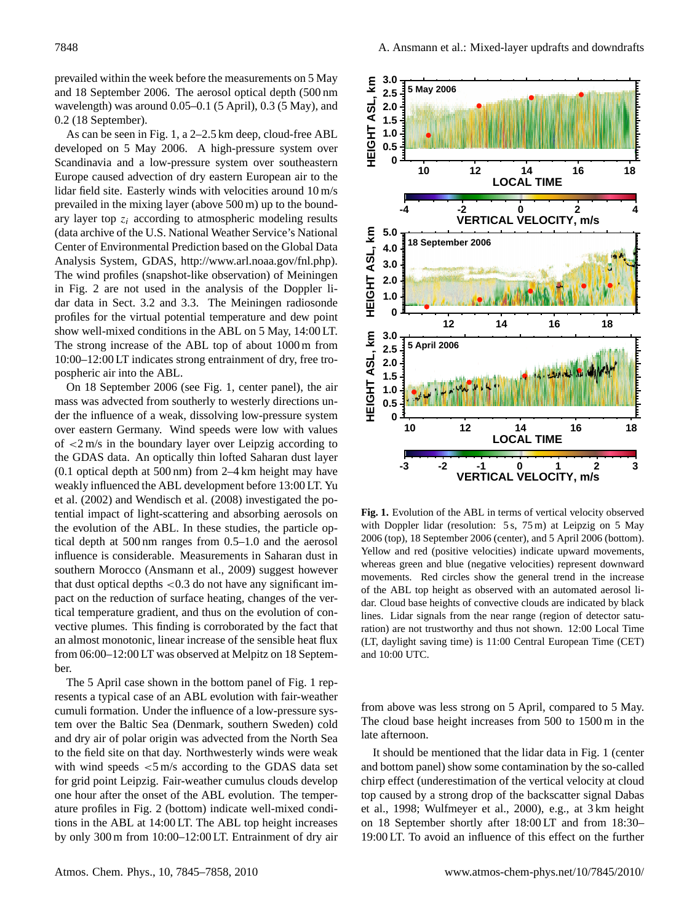prevailed within the week before the measurements on 5 May and 18 September 2006. The aerosol optical depth (500 nm wavelength) was around 0.05–0.1 (5 April), 0.3 (5 May), and 0.2 (18 September).

As can be seen in Fig. [1,](#page-3-0) a 2–2.5 km deep, cloud-free ABL developed on 5 May 2006. A high-pressure system over Scandinavia and a low-pressure system over southeastern Europe caused advection of dry eastern European air to the lidar field site. Easterly winds with velocities around 10 m/s prevailed in the mixing layer (above 500 m) up to the boundary layer top  $z_i$  according to atmospheric modeling results (data archive of the U.S. National Weather Service's National Center of Environmental Prediction based on the Global Data Analysis System, GDAS, [http://www.arl.noaa.gov/fnl.php\)](http://www.arl.noaa.gov/fnl.php). The wind profiles (snapshot-like observation) of Meiningen in Fig. [2](#page-4-0) are not used in the analysis of the Doppler lidar data in Sect. 3.2 and 3.3. The Meiningen radiosonde profiles for the virtual potential temperature and dew point show well-mixed conditions in the ABL on 5 May, 14:00 LT. The strong increase of the ABL top of about 1000 m from 10:00–12:00 LT indicates strong entrainment of dry, free tropospheric air into the ABL.

On 18 September 2006 (see Fig. [1,](#page-3-0) center panel), the air mass was advected from southerly to westerly directions under the influence of a weak, dissolving low-pressure system over eastern Germany. Wind speeds were low with values of <2 m/s in the boundary layer over Leipzig according to the GDAS data. An optically thin lofted Saharan dust layer (0.1 optical depth at 500 nm) from 2–4 km height may have weakly influenced the ABL development before 13:00 LT. [Yu](#page-13-5) [et al.](#page-13-5) [\(2002\)](#page-13-5) and [Wendisch et al.](#page-12-28) [\(2008\)](#page-12-28) investigated the potential impact of light-scattering and absorbing aerosols on the evolution of the ABL. In these studies, the particle optical depth at 500 nm ranges from 0.5–1.0 and the aerosol influence is considerable. Measurements in Saharan dust in southern Morocco [\(Ansmann et al.,](#page-11-0) [2009\)](#page-11-0) suggest however that dust optical depths <0.3 do not have any significant impact on the reduction of surface heating, changes of the vertical temperature gradient, and thus on the evolution of convective plumes. This finding is corroborated by the fact that an almost monotonic, linear increase of the sensible heat flux from 06:00–12:00 LT was observed at Melpitz on 18 September.

The 5 April case shown in the bottom panel of Fig. [1](#page-3-0) represents a typical case of an ABL evolution with fair-weather cumuli formation. Under the influence of a low-pressure system over the Baltic Sea (Denmark, southern Sweden) cold and dry air of polar origin was advected from the North Sea to the field site on that day. Northwesterly winds were weak with wind speeds  $\lt 5$  m/s according to the GDAS data set for grid point Leipzig. Fair-weather cumulus clouds develop one hour after the onset of the ABL evolution. The temperature profiles in Fig. [2](#page-4-0) (bottom) indicate well-mixed conditions in the ABL at 14:00 LT. The ABL top height increases by only 300 m from 10:00–12:00 LT. Entrainment of dry air



<span id="page-3-0"></span>**Fig. 1.** Evolution of the ABL in terms of vertical velocity observed with Doppler lidar (resolution: 5 s, 75 m) at Leipzig on 5 May 2006 (top), 18 September 2006 (center), and 5 April 2006 (bottom). Yellow and red (positive velocities) indicate upward movements, whereas green and blue (negative velocities) represent downward movements. Red circles show the general trend in the increase of the ABL top height as observed with an automated aerosol lidar. Cloud base heights of convective clouds are indicated by black lines. Lidar signals from the near range (region of detector saturation) are not trustworthy and thus not shown. 12:00 Local Time (LT, daylight saving time) is 11:00 Central European Time (CET) and 10:00 UTC.

from above was less strong on 5 April, compared to 5 May. The cloud base height increases from 500 to 1500 m in the late afternoon.

It should be mentioned that the lidar data in Fig. [1](#page-3-0) (center and bottom panel) show some contamination by the so-called chirp effect (underestimation of the vertical velocity at cloud top caused by a strong drop of the backscatter signal [Dabas](#page-11-5) [et al.,](#page-11-5) [1998;](#page-11-5) [Wulfmeyer et al.,](#page-13-6) [2000\)](#page-13-6), e.g., at 3 km height on 18 September shortly after 18:00 LT and from 18:30– 19:00 LT. To avoid an influence of this effect on the further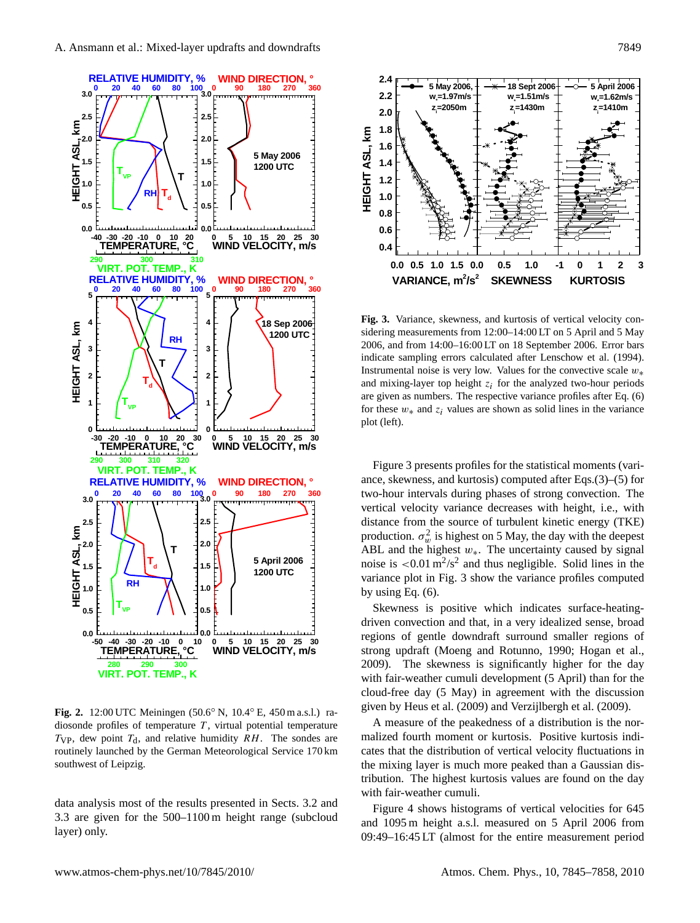

<span id="page-4-0"></span>**Fig. 2.** 12:00 UTC Meiningen (50.6◦ N, 10.4◦ E, 450 m a.s.l.) radiosonde profiles of temperature  $T$ , virtual potential temperature  $T_{VP}$ , dew point  $T_d$ , and relative humidity RH. The sondes are routinely launched by the German Meteorological Service 170 km southwest of Leipzig.

data analysis most of the results presented in Sects. 3.2 and 3.3 are given for the 500–1100 m height range (subcloud layer) only.



<span id="page-4-1"></span>**Fig. 3.** Variance, skewness, and kurtosis of vertical velocity considering measurements from 12:00–14:00 LT on 5 April and 5 May 2006, and from 14:00–16:00 LT on 18 September 2006. Error bars indicate sampling errors calculated after [Lenschow et al.](#page-12-29) [\(1994\)](#page-12-29). Instrumental noise is very low. Values for the convective scale  $w_*$ and mixing-layer top height  $z_i$  for the analyzed two-hour periods are given as numbers. The respective variance profiles after Eq. [\(6\)](#page-2-1) for these  $w_*$  and  $z_i$  values are shown as solid lines in the variance plot (left).

Figure [3](#page-4-1) presents profiles for the statistical moments (variance, skewness, and kurtosis) computed after Eqs.[\(3\)](#page-2-0)–[\(5\)](#page-2-0) for two-hour intervals during phases of strong convection. The vertical velocity variance decreases with height, i.e., with distance from the source of turbulent kinetic energy (TKE) production.  $\sigma_w^2$  is highest on 5 May, the day with the deepest ABL and the highest  $w_*$ . The uncertainty caused by signal noise is  $\langle 0.01 \text{ m}^2/\text{s}^2$  and thus negligible. Solid lines in the variance plot in Fig. [3](#page-4-1) show the variance profiles computed by using Eq. [\(6\)](#page-2-1).

Skewness is positive which indicates surface-heatingdriven convection and that, in a very idealized sense, broad regions of gentle downdraft surround smaller regions of strong updraft [\(Moeng and Rotunno,](#page-12-30) [1990;](#page-12-30) [Hogan et al.,](#page-12-18) [2009\)](#page-12-18). The skewness is significantly higher for the day with fair-weather cumuli development (5 April) than for the cloud-free day (5 May) in agreement with the discussion given by [Heus et al.](#page-12-31) [\(2009\)](#page-12-31) and [Verzijlbergh et al.](#page-12-9) [\(2009\)](#page-12-9).

A measure of the peakedness of a distribution is the normalized fourth moment or kurtosis. Positive kurtosis indicates that the distribution of vertical velocity fluctuations in the mixing layer is much more peaked than a Gaussian distribution. The highest kurtosis values are found on the day with fair-weather cumuli.

Figure [4](#page-5-0) shows histograms of vertical velocities for 645 and 1095 m height a.s.l. measured on 5 April 2006 from 09:49–16:45 LT (almost for the entire measurement period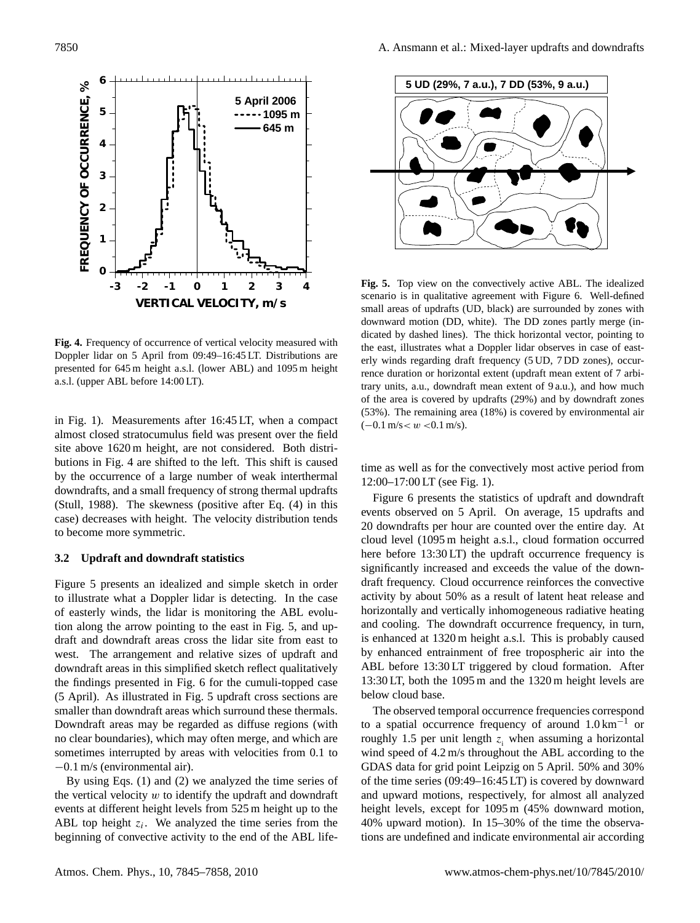

<span id="page-5-0"></span>**Fig. 4.** Frequency of occurrence of vertical velocity measured with Doppler lidar on 5 April from 09:49–16:45 LT. Distributions are presented for 645 m height a.s.l. (lower ABL) and 1095 m height a.s.l. (upper ABL before 14:00 LT).

in Fig. [1\)](#page-3-0). Measurements after 16:45 LT, when a compact almost closed stratocumulus field was present over the field site above 1620 m height, are not considered. Both distributions in Fig. [4](#page-5-0) are shifted to the left. This shift is caused by the occurrence of a large number of weak interthermal downdrafts, and a small frequency of strong thermal updrafts [\(Stull,](#page-12-25) [1988\)](#page-12-25). The skewness (positive after Eq. [\(4\)](#page-2-0) in this case) decreases with height. The velocity distribution tends to become more symmetric.

## **3.2 Updraft and downdraft statistics**

Figure [5](#page-5-1) presents an idealized and simple sketch in order to illustrate what a Doppler lidar is detecting. In the case of easterly winds, the lidar is monitoring the ABL evolution along the arrow pointing to the east in Fig. [5,](#page-5-1) and updraft and downdraft areas cross the lidar site from east to west. The arrangement and relative sizes of updraft and downdraft areas in this simplified sketch reflect qualitatively the findings presented in Fig. [6](#page-6-0) for the cumuli-topped case (5 April). As illustrated in Fig. [5](#page-5-1) updraft cross sections are smaller than downdraft areas which surround these thermals. Downdraft areas may be regarded as diffuse regions (with no clear boundaries), which may often merge, and which are sometimes interrupted by areas with velocities from 0.1 to −0.1 m/s (environmental air).

By using Eqs. [\(1\)](#page-1-0) and [\(2\)](#page-2-2) we analyzed the time series of the vertical velocity  $w$  to identify the updraft and downdraft events at different height levels from 525 m height up to the ABL top height  $z_i$ . We analyzed the time series from the beginning of convective activity to the end of the ABL life-



<span id="page-5-1"></span>**Fig. 5.** Top view on the convectively active ABL. The idealized scenario is in qualitative agreement with Figure [6.](#page-6-0) Well-defined small areas of updrafts (UD, black) are surrounded by zones with downward motion (DD, white). The DD zones partly merge (indicated by dashed lines). The thick horizontal vector, pointing to the east, illustrates what a Doppler lidar observes in case of easterly winds regarding draft frequency (5 UD, 7 DD zones), occurrence duration or horizontal extent (updraft mean extent of 7 arbitrary units, a.u., downdraft mean extent of 9 a.u.), and how much of the area is covered by updrafts (29%) and by downdraft zones (53%). The remaining area (18%) is covered by environmental air  $(-0.1 \text{ m/s} < w < 0.1 \text{ m/s}).$ 

time as well as for the convectively most active period from 12:00–17:00 LT (see Fig. [1\)](#page-3-0).

Figure [6](#page-6-0) presents the statistics of updraft and downdraft events observed on 5 April. On average, 15 updrafts and 20 downdrafts per hour are counted over the entire day. At cloud level (1095 m height a.s.l., cloud formation occurred here before 13:30 LT) the updraft occurrence frequency is significantly increased and exceeds the value of the downdraft frequency. Cloud occurrence reinforces the convective activity by about 50% as a result of latent heat release and horizontally and vertically inhomogeneous radiative heating and cooling. The downdraft occurrence frequency, in turn, is enhanced at 1320 m height a.s.l. This is probably caused by enhanced entrainment of free tropospheric air into the ABL before 13:30 LT triggered by cloud formation. After 13:30 LT, both the 1095 m and the 1320 m height levels are below cloud base.

The observed temporal occurrence frequencies correspond to a spatial occurrence frequency of around  $1.0 \text{ km}^{-1}$  or roughly 1.5 per unit length  $z_i$  when assuming a horizontal wind speed of 4.2 m/s throughout the ABL according to the GDAS data for grid point Leipzig on 5 April. 50% and 30% of the time series (09:49–16:45 LT) is covered by downward and upward motions, respectively, for almost all analyzed height levels, except for 1095 m (45% downward motion, 40% upward motion). In 15–30% of the time the observations are undefined and indicate environmental air according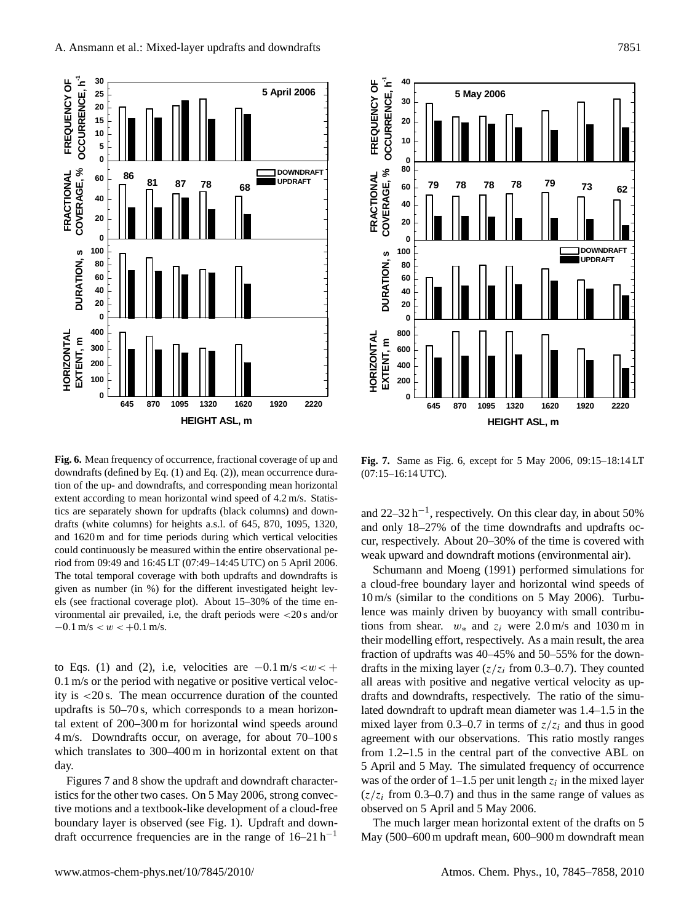

<span id="page-6-0"></span>**Fig. 6.** Mean frequency of occurrence, fractional coverage of up and downdrafts (defined by Eq. [\(1\)](#page-1-0) and Eq. [\(2\)](#page-2-2)), mean occurrence duration of the up- and downdrafts, and corresponding mean horizontal extent according to mean horizontal wind speed of 4.2 m/s. Statistics are separately shown for updrafts (black columns) and downdrafts (white columns) for heights a.s.l. of 645, 870, 1095, 1320, and 1620 m and for time periods during which vertical velocities could continuously be measured within the entire observational period from 09:49 and 16:45 LT (07:49–14:45 UTC) on 5 April 2006. The total temporal coverage with both updrafts and downdrafts is given as number (in %) for the different investigated height levels (see fractional coverage plot). About 15–30% of the time environmental air prevailed, i.e, the draft periods were <20 s and/or  $-0.1$  m/s  $< w < +0.1$  m/s.

to Eqs. [\(1\)](#page-1-0) and [\(2\)](#page-2-2), i.e, velocities are  $-0.1 \text{ m/s} < w < +$ 0.1 m/s or the period with negative or positive vertical velocity is <20 s. The mean occurrence duration of the counted updrafts is 50–70 s, which corresponds to a mean horizontal extent of 200–300 m for horizontal wind speeds around 4 m/s. Downdrafts occur, on average, for about 70–100 s which translates to 300–400 m in horizontal extent on that day.

Figures [7](#page-6-1) and [8](#page-7-0) show the updraft and downdraft characteristics for the other two cases. On 5 May 2006, strong convective motions and a textbook-like development of a cloud-free boundary layer is observed (see Fig. [1\)](#page-3-0). Updraft and downdraft occurrence frequencies are in the range of  $16-21 h^{-1}$ 



<span id="page-6-1"></span>**Fig. 7.** Same as Fig. [6,](#page-6-0) except for 5 May 2006, 09:15–18:14 LT (07:15–16:14 UTC).

and  $22-32 h^{-1}$ , respectively. On this clear day, in about 50% and only 18–27% of the time downdrafts and updrafts occur, respectively. About 20–30% of the time is covered with weak upward and downdraft motions (environmental air).

[Schumann and Moeng](#page-12-32) [\(1991\)](#page-12-32) performed simulations for a cloud-free boundary layer and horizontal wind speeds of 10 m/s (similar to the conditions on 5 May 2006). Turbulence was mainly driven by buoyancy with small contributions from shear.  $w_*$  and  $z_i$  were 2.0 m/s and 1030 m in their modelling effort, respectively. As a main result, the area fraction of updrafts was 40–45% and 50–55% for the downdrafts in the mixing layer  $(z/z_i)$  from 0.3–0.7). They counted all areas with positive and negative vertical velocity as updrafts and downdrafts, respectively. The ratio of the simulated downdraft to updraft mean diameter was 1.4–1.5 in the mixed layer from 0.3–0.7 in terms of  $z/z_i$  and thus in good agreement with our observations. This ratio mostly ranges from 1.2–1.5 in the central part of the convective ABL on 5 April and 5 May. The simulated frequency of occurrence was of the order of 1–1.5 per unit length  $z_i$  in the mixed layer  $(z/z<sub>i</sub>$  from 0.3–0.7) and thus in the same range of values as observed on 5 April and 5 May 2006.

The much larger mean horizontal extent of the drafts on 5 May (500–600 m updraft mean, 600–900 m downdraft mean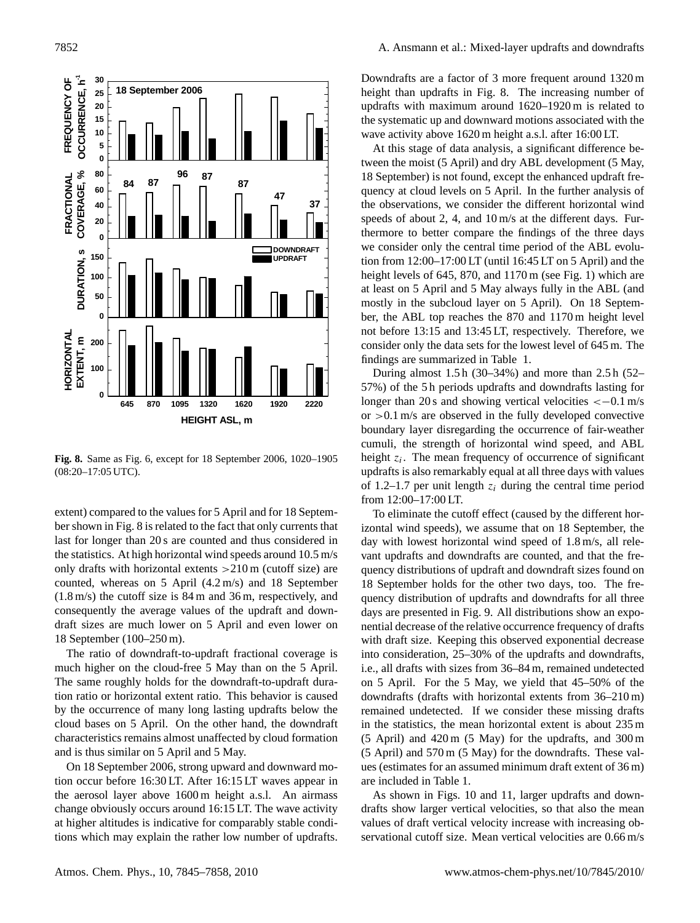

<span id="page-7-0"></span>**Fig. 8.** Same as Fig. [6,](#page-6-0) except for 18 September 2006, 1020–1905 (08:20–17:05 UTC).

extent) compared to the values for 5 April and for 18 September shown in Fig. [8](#page-7-0) is related to the fact that only currents that last for longer than 20 s are counted and thus considered in the statistics. At high horizontal wind speeds around 10.5 m/s only drafts with horizontal extents >210 m (cutoff size) are counted, whereas on 5 April (4.2 m/s) and 18 September (1.8 m/s) the cutoff size is 84 m and 36 m, respectively, and consequently the average values of the updraft and downdraft sizes are much lower on 5 April and even lower on 18 September (100–250 m).

The ratio of downdraft-to-updraft fractional coverage is much higher on the cloud-free 5 May than on the 5 April. The same roughly holds for the downdraft-to-updraft duration ratio or horizontal extent ratio. This behavior is caused by the occurrence of many long lasting updrafts below the cloud bases on 5 April. On the other hand, the downdraft characteristics remains almost unaffected by cloud formation and is thus similar on 5 April and 5 May.

On 18 September 2006, strong upward and downward motion occur before 16:30 LT. After 16:15 LT waves appear in the aerosol layer above 1600 m height a.s.l. An airmass change obviously occurs around 16:15 LT. The wave activity at higher altitudes is indicative for comparably stable conditions which may explain the rather low number of updrafts. Downdrafts are a factor of 3 more frequent around 1320 m height than updrafts in Fig. [8.](#page-7-0) The increasing number of updrafts with maximum around 1620–1920 m is related to the systematic up and downward motions associated with the wave activity above 1620 m height a.s.l. after 16:00 LT.

At this stage of data analysis, a significant difference between the moist (5 April) and dry ABL development (5 May, 18 September) is not found, except the enhanced updraft frequency at cloud levels on 5 April. In the further analysis of the observations, we consider the different horizontal wind speeds of about 2, 4, and 10 m/s at the different days. Furthermore to better compare the findings of the three days we consider only the central time period of the ABL evolution from 12:00–17:00 LT (until 16:45 LT on 5 April) and the height levels of 645, 870, and 1170 m (see Fig. [1\)](#page-3-0) which are at least on 5 April and 5 May always fully in the ABL (and mostly in the subcloud layer on 5 April). On 18 September, the ABL top reaches the 870 and 1170 m height level not before 13:15 and 13:45 LT, respectively. Therefore, we consider only the data sets for the lowest level of 645 m. The findings are summarized in Table [1.](#page-8-0)

During almost 1.5 h (30–34%) and more than 2.5 h (52– 57%) of the 5 h periods updrafts and downdrafts lasting for longer than 20 s and showing vertical velocities  $<-0.1 \text{ m/s}$ or >0.1 m/s are observed in the fully developed convective boundary layer disregarding the occurrence of fair-weather cumuli, the strength of horizontal wind speed, and ABL height  $z_i$ . The mean frequency of occurrence of significant updrafts is also remarkably equal at all three days with values of 1.2–1.7 per unit length  $z_i$  during the central time period from 12:00–17:00 LT.

To eliminate the cutoff effect (caused by the different horizontal wind speeds), we assume that on 18 September, the day with lowest horizontal wind speed of 1.8 m/s, all relevant updrafts and downdrafts are counted, and that the frequency distributions of updraft and downdraft sizes found on 18 September holds for the other two days, too. The frequency distribution of updrafts and downdrafts for all three days are presented in Fig. [9.](#page-9-0) All distributions show an exponential decrease of the relative occurrence frequency of drafts with draft size. Keeping this observed exponential decrease into consideration, 25–30% of the updrafts and downdrafts, i.e., all drafts with sizes from 36–84 m, remained undetected on 5 April. For the 5 May, we yield that 45–50% of the downdrafts (drafts with horizontal extents from 36–210 m) remained undetected. If we consider these missing drafts in the statistics, the mean horizontal extent is about 235 m (5 April) and 420 m (5 May) for the updrafts, and 300 m (5 April) and 570 m (5 May) for the downdrafts. These values (estimates for an assumed minimum draft extent of 36 m) are included in Table [1.](#page-8-0)

As shown in Figs. [10](#page-9-1) and [11,](#page-10-0) larger updrafts and downdrafts show larger vertical velocities, so that also the mean values of draft vertical velocity increase with increasing observational cutoff size. Mean vertical velocities are 0.66 m/s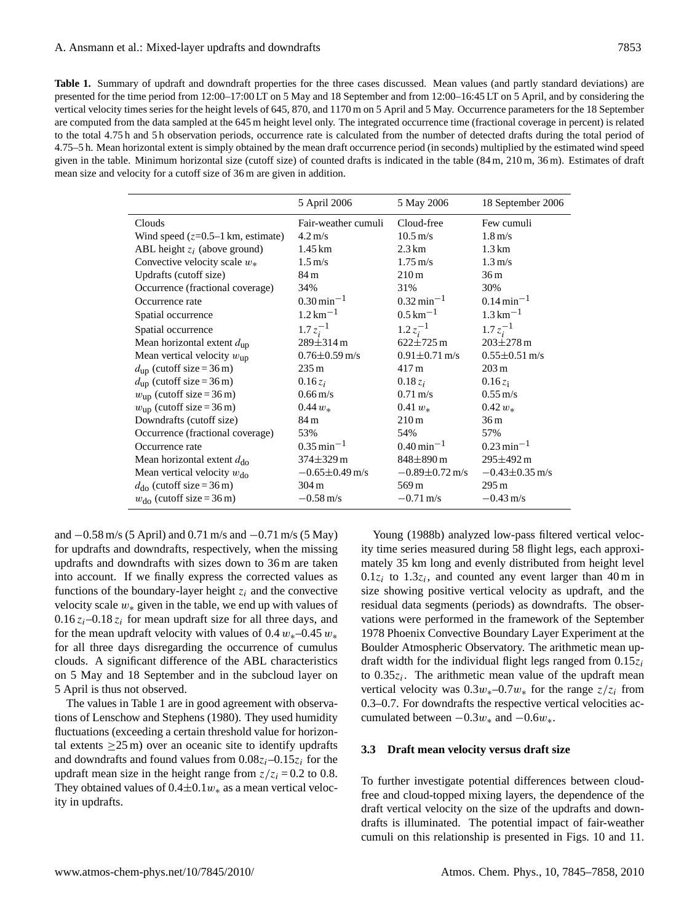<span id="page-8-0"></span>**Table 1.** Summary of updraft and downdraft properties for the three cases discussed. Mean values (and partly standard deviations) are presented for the time period from 12:00–17:00 LT on 5 May and 18 September and from 12:00–16:45 LT on 5 April, and by considering the vertical velocity times series for the height levels of 645, 870, and 1170 m on 5 April and 5 May. Occurrence parameters for the 18 September are computed from the data sampled at the 645 m height level only. The integrated occurrence time (fractional coverage in percent) is related to the total 4.75 h and 5 h observation periods, occurrence rate is calculated from the number of detected drafts during the total period of 4.75–5 h. Mean horizontal extent is simply obtained by the mean draft occurrence period (in seconds) multiplied by the estimated wind speed given in the table. Minimum horizontal size (cutoff size) of counted drafts is indicated in the table (84 m, 210 m, 36 m). Estimates of draft mean size and velocity for a cutoff size of 36 m are given in addition.

|                                                     | 5 April 2006               | 5 May 2006                 | 18 September 2006          |
|-----------------------------------------------------|----------------------------|----------------------------|----------------------------|
| Clouds                                              | Fair-weather cumuli        | Cloud-free                 | Few cumuli                 |
| Wind speed $(z=0.5-1 \text{ km}, \text{ estimate})$ | $4.2 \,\mathrm{m/s}$       | $10.5 \,\mathrm{m/s}$      | $1.8 \text{ m/s}$          |
| ABL height $z_i$ (above ground)                     | 1.45 km                    | $2.3 \mathrm{km}$          | $1.3 \mathrm{km}$          |
| Convective velocity scale $w_*$                     | $1.5 \text{ m/s}$          | $1.75 \,\mathrm{m/s}$      | $1.3 \text{ m/s}$          |
| Updrafts (cutoff size)                              | 84 m                       | 210m                       | 36 <sub>m</sub>            |
| Occurrence (fractional coverage)                    | 34%                        | 31%                        | 30%                        |
| Occurrence rate                                     | $0.30 \,\mathrm{min}^{-1}$ | $0.32 \,\mathrm{min}^{-1}$ | $0.14 \,\mathrm{min}^{-1}$ |
| Spatial occurrence                                  | $1.2 \,\mathrm{km}^{-1}$   | $0.5 \,\mathrm{km}^{-1}$   | $1.3 \text{ km}^{-1}$      |
| Spatial occurrence                                  | $1.7z_i^{-1}$              | $1.2 z_i^{-1}$             | $1.7 z_i^{-1}$             |
| Mean horizontal extent $d_{\text{up}}$              | $289 \pm 314 \text{ m}$    | $622 \pm 725$ m            | $203 + 278$ m              |
| Mean vertical velocity $w_{\text{up}}$              | $0.76 \pm 0.59$ m/s        | $0.91 \pm 0.71$ m/s        | $0.55 \pm 0.51$ m/s        |
| $d_{\text{up}}$ (cutoff size = 36 m)                | $235 \,\mathrm{m}$         | 417 m                      | $203 \text{ m}$            |
| $d_{\text{up}}$ (cutoff size = 36 m)                | $0.16 z_i$                 | $0.18 z_i$                 | $0.16 z_i$                 |
| $w_{\text{up}}$ (cutoff size = 36 m)                | $0.66 \,\mathrm{m/s}$      | $0.71 \,\mathrm{m/s}$      | $0.55 \,\mathrm{m/s}$      |
| $w_{\text{up}}$ (cutoff size = 36 m)                | $0.44 w_*$                 | 0.41 $w_*$                 | $0.42 w_*$                 |
| Downdrafts (cutoff size)                            | 84 <sub>m</sub>            | 210m                       | 36 <sub>m</sub>            |
| Occurrence (fractional coverage)                    | 53%                        | 54%                        | 57%                        |
| Occurrence rate                                     | $0.35$ min <sup>-1</sup>   | $0.40 \,\mathrm{min}^{-1}$ | $0.23 \text{ min}^{-1}$    |
| Mean horizontal extent $d_{\rm do}$                 | $374 \pm 329$ m            | 848±890 m                  | $295 \pm 492 \text{ m}$    |
| Mean vertical velocity $w_{\text{do}}$              | $-0.65 \pm 0.49$ m/s       | $-0.89 \pm 0.72$ m/s       | $-0.43\pm0.35$ m/s         |
| $d_{\text{do}}$ (cutoff size = 36 m)                | 304 m                      | 569 m                      | $295 \,\mathrm{m}$         |
| $w_{\text{do}}$ (cutoff size = 36 m)                | $-0.58 \,\mathrm{m/s}$     | $-0.71 \text{ m/s}$        | $-0.43$ m/s                |

and −0.58 m/s (5 April) and 0.71 m/s and −0.71 m/s (5 May) for updrafts and downdrafts, respectively, when the missing updrafts and downdrafts with sizes down to 36 m are taken into account. If we finally express the corrected values as functions of the boundary-layer height  $z_i$  and the convective velocity scale  $w_*$  given in the table, we end up with values of  $0.16 z_i - 0.18 z_i$  for mean updraft size for all three days, and for the mean updraft velocity with values of  $0.4 w_*$ –0.45  $w_*$ for all three days disregarding the occurrence of cumulus clouds. A significant difference of the ABL characteristics on 5 May and 18 September and in the subcloud layer on 5 April is thus not observed.

The values in Table [1](#page-8-0) are in good agreement with observations of [Lenschow and Stephens](#page-12-1) [\(1980\)](#page-12-1). They used humidity fluctuations (exceeding a certain threshold value for horizontal extents  $\geq$ 25 m) over an oceanic site to identify updrafts and downdrafts and found values from  $0.08z_i-0.15z_i$  for the updraft mean size in the height range from  $z/z_i = 0.2$  to 0.8. They obtained values of  $0.4\pm0.1w_*$  as a mean vertical velocity in updrafts.

[Young](#page-13-1) [\(1988b\)](#page-13-1) analyzed low-pass filtered vertical velocity time series measured during 58 flight legs, each approximately 35 km long and evenly distributed from height level  $0.1z_i$  to  $1.3z_i$ , and counted any event larger than 40 m in size showing positive vertical velocity as updraft, and the residual data segments (periods) as downdrafts. The observations were performed in the framework of the September 1978 Phoenix Convective Boundary Layer Experiment at the Boulder Atmospheric Observatory. The arithmetic mean updraft width for the individual flight legs ranged from  $0.15z_i$ to  $0.35z_i$ . The arithmetic mean value of the updraft mean vertical velocity was  $0.3w_*-0.7w_*$  for the range  $z/z_i$  from 0.3–0.7. For downdrafts the respective vertical velocities accumulated between  $-0.3w_*$  and  $-0.6w_*$ .

#### **3.3 Draft mean velocity versus draft size**

To further investigate potential differences between cloudfree and cloud-topped mixing layers, the dependence of the draft vertical velocity on the size of the updrafts and downdrafts is illuminated. The potential impact of fair-weather cumuli on this relationship is presented in Figs. [10](#page-9-1) and [11.](#page-10-0)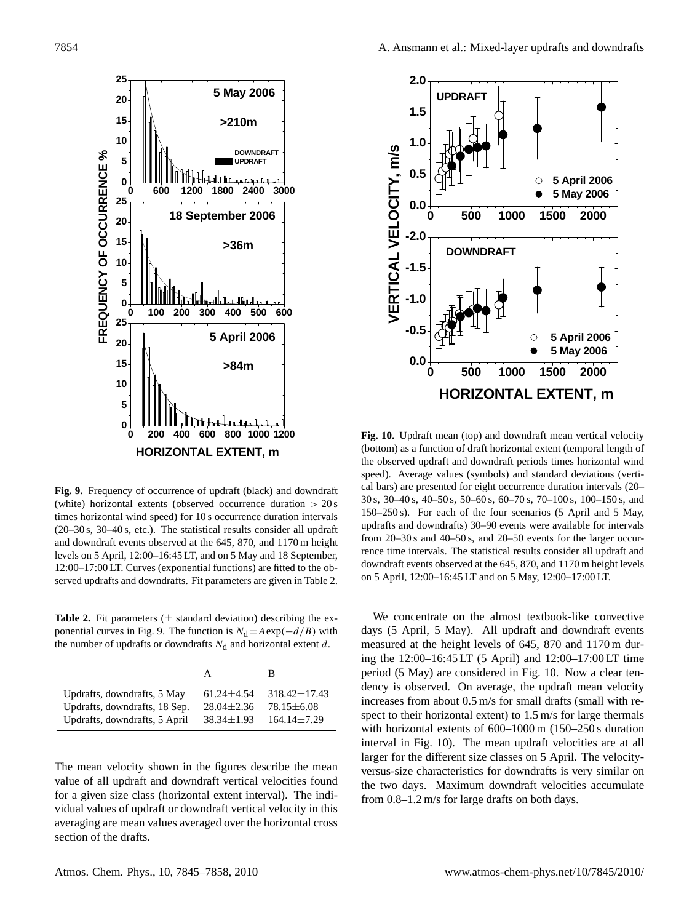

<span id="page-9-0"></span>**Fig. 9.** Frequency of occurrence of updraft (black) and downdraft (white) horizontal extents (observed occurrence duration  $> 20 \text{ s}$ times horizontal wind speed) for 10 s occurrence duration intervals (20–30 s, 30–40 s, etc.). The statistical results consider all updraft and downdraft events observed at the 645, 870, and 1170 m height levels on 5 April, 12:00–16:45 LT, and on 5 May and 18 September, 12:00–17:00 LT. Curves (exponential functions) are fitted to the observed updrafts and downdrafts. Fit parameters are given in Table [2.](#page-9-2)

<span id="page-9-2"></span>**Table 2.** Fit parameters  $(\pm$  standard deviation) describing the ex-ponential curves in Fig. [9.](#page-9-0) The function is  $N_d = A \exp(-d/B)$  with the number of updrafts or downdrafts  $N_d$  and horizontal extent d.

|                               | А                | В                  |
|-------------------------------|------------------|--------------------|
| Updrafts, downdrafts, 5 May   | $61.24 \pm 4.54$ | $318.42 \pm 17.43$ |
| Updrafts, downdrafts, 18 Sep. | $28.04 \pm 2.36$ | $78.15 \pm 6.08$   |
| Updrafts, downdrafts, 5 April | $38.34 \pm 1.93$ | $164.14 \pm 7.29$  |

The mean velocity shown in the figures describe the mean value of all updraft and downdraft vertical velocities found for a given size class (horizontal extent interval). The individual values of updraft or downdraft vertical velocity in this averaging are mean values averaged over the horizontal cross section of the drafts.



<span id="page-9-1"></span>**Fig. 10.** Updraft mean (top) and downdraft mean vertical velocity (bottom) as a function of draft horizontal extent (temporal length of the observed updraft and downdraft periods times horizontal wind speed). Average values (symbols) and standard deviations (vertical bars) are presented for eight occurrence duration intervals (20– 30 s, 30–40 s, 40–50 s, 50–60 s, 60–70 s, 70–100 s, 100–150 s, and 150–250 s). For each of the four scenarios (5 April and 5 May, updrafts and downdrafts) 30–90 events were available for intervals from 20–30 s and 40–50 s, and 20–50 events for the larger occurrence time intervals. The statistical results consider all updraft and downdraft events observed at the 645, 870, and 1170 m height levels on 5 April, 12:00–16:45 LT and on 5 May, 12:00–17:00 LT.

We concentrate on the almost textbook-like convective days (5 April, 5 May). All updraft and downdraft events measured at the height levels of 645, 870 and 1170 m during the 12:00–16:45 LT (5 April) and 12:00–17:00 LT time period (5 May) are considered in Fig. [10.](#page-9-1) Now a clear tendency is observed. On average, the updraft mean velocity increases from about 0.5 m/s for small drafts (small with respect to their horizontal extent) to 1.5 m/s for large thermals with horizontal extents of 600–1000 m (150–250 s duration interval in Fig. [10\)](#page-9-1). The mean updraft velocities are at all larger for the different size classes on 5 April. The velocityversus-size characteristics for downdrafts is very similar on the two days. Maximum downdraft velocities accumulate from 0.8–1.2 m/s for large drafts on both days.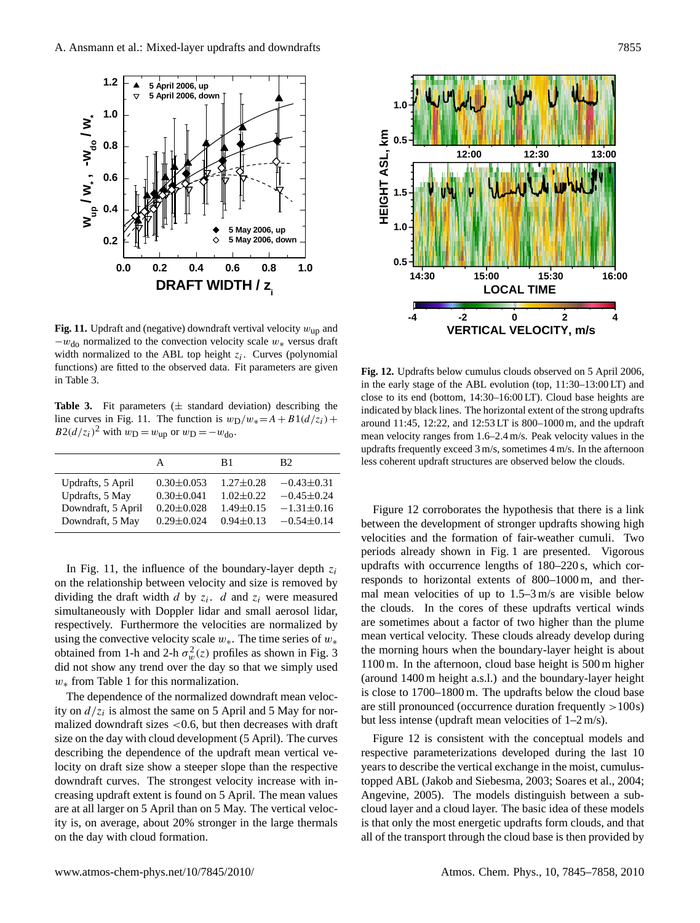

<span id="page-10-0"></span>**Fig. 11.** Updraft and (negative) downdraft vertival velocity  $w_{\text{up}}$  and  $-w_{\text{do}}$  normalized to the convection velocity scale  $w_*$  versus draft width normalized to the ABL top height  $z_i$ . Curves (polynomial functions) are fitted to the observed data. Fit parameters are given in Table [3.](#page-10-1)

<span id="page-10-1"></span>**Table 3.** Fit parameters  $(\pm$  standard deviation) describing the line curves in Fig. [11.](#page-10-0) The function is  $w_D/w_* = A + B1(d/z_i) +$  $B2(d/z_i)^2$  with  $w_D = w_{\text{up}}$  or  $w_D = -w_{\text{do}}$ .

|                                                                                | А                                                                            | B1                                                                     | B2.                                                                      |
|--------------------------------------------------------------------------------|------------------------------------------------------------------------------|------------------------------------------------------------------------|--------------------------------------------------------------------------|
| Updrafts, 5 April<br>Updrafts, 5 May<br>Downdraft, 5 April<br>Downdraft, 5 May | $0.30 \pm 0.053$<br>$0.30 \pm 0.041$<br>$0.20 \pm 0.028$<br>$0.29 \pm 0.024$ | $1.27 \pm 0.28$<br>$1.02 + 0.22$<br>$1.49 \pm 0.15$<br>$0.94 \pm 0.13$ | $-0.43 \pm 0.31$<br>$-0.45 \pm 0.24$<br>$-1.31\pm0.16$<br>$-0.54\pm0.14$ |
|                                                                                |                                                                              |                                                                        |                                                                          |

In Fig. [11,](#page-10-0) the influence of the boundary-layer depth  $z_i$ on the relationship between velocity and size is removed by dividing the draft width  $d$  by  $z_i$ .  $d$  and  $z_i$  were measured simultaneously with Doppler lidar and small aerosol lidar, respectively. Furthermore the velocities are normalized by using the convective velocity scale  $w_*$ . The time series of  $w_*$ obtained from 1-h and 2-h  $\sigma_w^2(z)$  profiles as shown in Fig. [3](#page-4-1) did not show any trend over the day so that we simply used  $w_*$  from Table [1](#page-8-0) for this normalization.

The dependence of the normalized downdraft mean velocity on  $d/z_i$  is almost the same on 5 April and 5 May for normalized downdraft sizes  $< 0.6$ , but then decreases with draft size on the day with cloud development (5 April). The curves describing the dependence of the updraft mean vertical velocity on draft size show a steeper slope than the respective downdraft curves. The strongest velocity increase with increasing updraft extent is found on 5 April. The mean values are at all larger on 5 April than on 5 May. The vertical velocity is, on average, about 20% stronger in the large thermals on the day with cloud formation.



<span id="page-10-2"></span>**Fig. 12.** Updrafts below cumulus clouds observed on 5 April 2006, in the early stage of the ABL evolution (top, 11:30–13:00 LT) and close to its end (bottom, 14:30–16:00 LT). Cloud base heights are indicated by black lines. The horizontal extent of the strong updrafts around 11:45, 12:22, and 12:53 LT is 800–1000 m, and the updraft mean velocity ranges from 1.6–2.4 m/s. Peak velocity values in the updrafts frequently exceed 3 m/s, sometimes 4 m/s. In the afternoon less coherent updraft structures are observed below the clouds.

Figure [12](#page-10-2) corroborates the hypothesis that there is a link between the development of stronger updrafts showing high velocities and the formation of fair-weather cumuli. Two periods already shown in Fig. [1](#page-3-0) are presented. Vigorous updrafts with occurrence lengths of 180–220 s, which corresponds to horizontal extents of 800–1000 m, and thermal mean velocities of up to 1.5–3 m/s are visible below the clouds. In the cores of these updrafts vertical winds are sometimes about a factor of two higher than the plume mean vertical velocity. These clouds already develop during the morning hours when the boundary-layer height is about 1100 m. In the afternoon, cloud base height is 500 m higher (around 1400 m height a.s.l.) and the boundary-layer height is close to 1700–1800 m. The updrafts below the cloud base are still pronounced (occurrence duration frequently >100s) but less intense (updraft mean velocities of 1–2 m/s).

Figure [12](#page-10-2) is consistent with the conceptual models and respective parameterizations developed during the last 10 years to describe the vertical exchange in the moist, cumulustopped ABL [\(Jakob and Siebesma,](#page-12-7) [2003;](#page-12-7) [Soares et al.,](#page-12-8) [2004;](#page-12-8) [Angevine,](#page-11-2) [2005\)](#page-11-2). The models distinguish between a subcloud layer and a cloud layer. The basic idea of these models is that only the most energetic updrafts form clouds, and that all of the transport through the cloud base is then provided by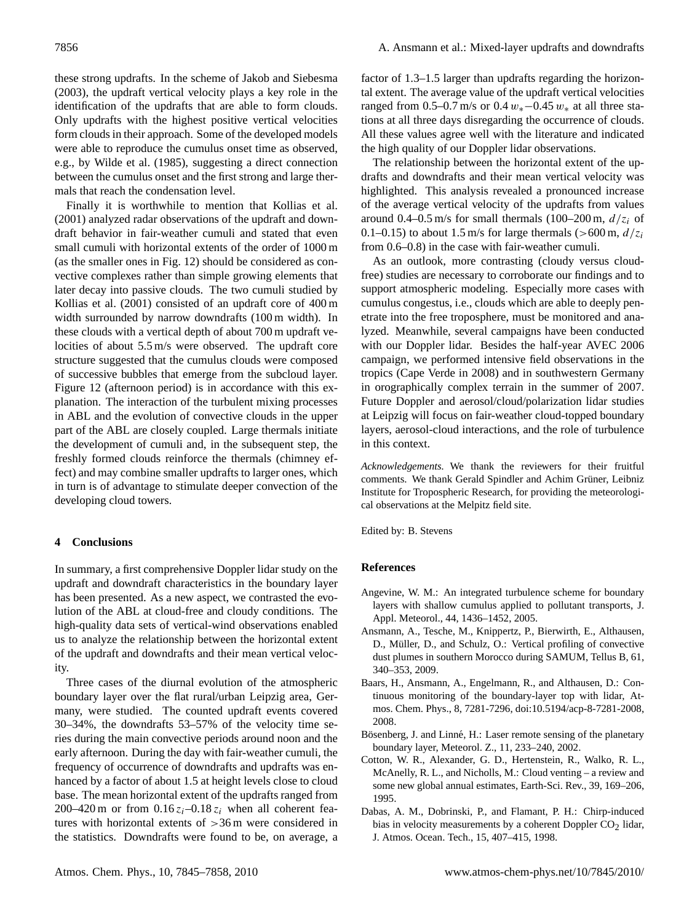these strong updrafts. In the scheme of [Jakob and Siebesma](#page-12-7) [\(2003\)](#page-12-7), the updraft vertical velocity plays a key role in the identification of the updrafts that are able to form clouds. Only updrafts with the highest positive vertical velocities form clouds in their approach. Some of the developed models were able to reproduce the cumulus onset time as observed, e.g., by [Wilde et al.](#page-12-33) [\(1985\)](#page-12-33), suggesting a direct connection between the cumulus onset and the first strong and large thermals that reach the condensation level.

Finally it is worthwhile to mention that [Kollias et al.](#page-12-5) [\(2001\)](#page-12-5) analyzed radar observations of the updraft and downdraft behavior in fair-weather cumuli and stated that even small cumuli with horizontal extents of the order of 1000 m (as the smaller ones in Fig. [12\)](#page-10-2) should be considered as convective complexes rather than simple growing elements that later decay into passive clouds. The two cumuli studied by [Kollias et al.](#page-12-5) [\(2001\)](#page-12-5) consisted of an updraft core of 400 m width surrounded by narrow downdrafts (100 m width). In these clouds with a vertical depth of about 700 m updraft velocities of about 5.5 m/s were observed. The updraft core structure suggested that the cumulus clouds were composed of successive bubbles that emerge from the subcloud layer. Figure [12](#page-10-2) (afternoon period) is in accordance with this explanation. The interaction of the turbulent mixing processes in ABL and the evolution of convective clouds in the upper part of the ABL are closely coupled. Large thermals initiate the development of cumuli and, in the subsequent step, the freshly formed clouds reinforce the thermals (chimney effect) and may combine smaller updrafts to larger ones, which in turn is of advantage to stimulate deeper convection of the developing cloud towers.

#### **4 Conclusions**

In summary, a first comprehensive Doppler lidar study on the updraft and downdraft characteristics in the boundary layer has been presented. As a new aspect, we contrasted the evolution of the ABL at cloud-free and cloudy conditions. The high-quality data sets of vertical-wind observations enabled us to analyze the relationship between the horizontal extent of the updraft and downdrafts and their mean vertical velocity.

Three cases of the diurnal evolution of the atmospheric boundary layer over the flat rural/urban Leipzig area, Germany, were studied. The counted updraft events covered 30–34%, the downdrafts 53–57% of the velocity time series during the main convective periods around noon and the early afternoon. During the day with fair-weather cumuli, the frequency of occurrence of downdrafts and updrafts was enhanced by a factor of about 1.5 at height levels close to cloud base. The mean horizontal extent of the updrafts ranged from 200–420 m or from  $0.16 z_i$ –0.18 $z_i$  when all coherent features with horizontal extents of >36 m were considered in the statistics. Downdrafts were found to be, on average, a

factor of 1.3–1.5 larger than updrafts regarding the horizontal extent. The average value of the updraft vertical velocities ranged from 0.5–0.7 m/s or 0.4  $w_*$ –0.45  $w_*$  at all three stations at all three days disregarding the occurrence of clouds. All these values agree well with the literature and indicated the high quality of our Doppler lidar observations.

The relationship between the horizontal extent of the updrafts and downdrafts and their mean vertical velocity was highlighted. This analysis revealed a pronounced increase of the average vertical velocity of the updrafts from values around 0.4–0.5 m/s for small thermals (100–200 m,  $d/z_i$  of 0.1–0.15) to about 1.5 m/s for large thermals (>600 m,  $d/z_i$ from 0.6–0.8) in the case with fair-weather cumuli.

As an outlook, more contrasting (cloudy versus cloudfree) studies are necessary to corroborate our findings and to support atmospheric modeling. Especially more cases with cumulus congestus, i.e., clouds which are able to deeply penetrate into the free troposphere, must be monitored and analyzed. Meanwhile, several campaigns have been conducted with our Doppler lidar. Besides the half-year AVEC 2006 campaign, we performed intensive field observations in the tropics (Cape Verde in 2008) and in southwestern Germany in orographically complex terrain in the summer of 2007. Future Doppler and aerosol/cloud/polarization lidar studies at Leipzig will focus on fair-weather cloud-topped boundary layers, aerosol-cloud interactions, and the role of turbulence in this context.

*Acknowledgements.* We thank the reviewers for their fruitful comments. We thank Gerald Spindler and Achim Grüner, Leibniz Institute for Tropospheric Research, for providing the meteorological observations at the Melpitz field site.

Edited by: B. Stevens

#### **References**

- <span id="page-11-2"></span>Angevine, W. M.: An integrated turbulence scheme for boundary layers with shallow cumulus applied to pollutant transports, J. Appl. Meteorol., 44, 1436–1452, 2005.
- <span id="page-11-0"></span>Ansmann, A., Tesche, M., Knippertz, P., Bierwirth, E., Althausen, D., Müller, D., and Schulz, O.: Vertical profiling of convective dust plumes in southern Morocco during SAMUM, Tellus B, 61, 340–353, 2009.
- <span id="page-11-4"></span>Baars, H., Ansmann, A., Engelmann, R., and Althausen, D.: Continuous monitoring of the boundary-layer top with lidar, Atmos. Chem. Phys., 8, 7281-7296, doi:10.5194/acp-8-7281-2008, 2008.
- <span id="page-11-3"></span>Bösenberg, J. and Linné, H.: Laser remote sensing of the planetary boundary layer, Meteorol. Z., 11, 233–240, 2002.
- <span id="page-11-1"></span>Cotton, W. R., Alexander, G. D., Hertenstein, R., Walko, R. L., McAnelly, R. L., and Nicholls, M.: Cloud venting – a review and some new global annual estimates, Earth-Sci. Rev., 39, 169–206, 1995.
- <span id="page-11-5"></span>Dabas, A. M., Dobrinski, P., and Flamant, P. H.: Chirp-induced bias in velocity measurements by a coherent Doppler  $CO<sub>2</sub>$  lidar, J. Atmos. Ocean. Tech., 15, 407–415, 1998.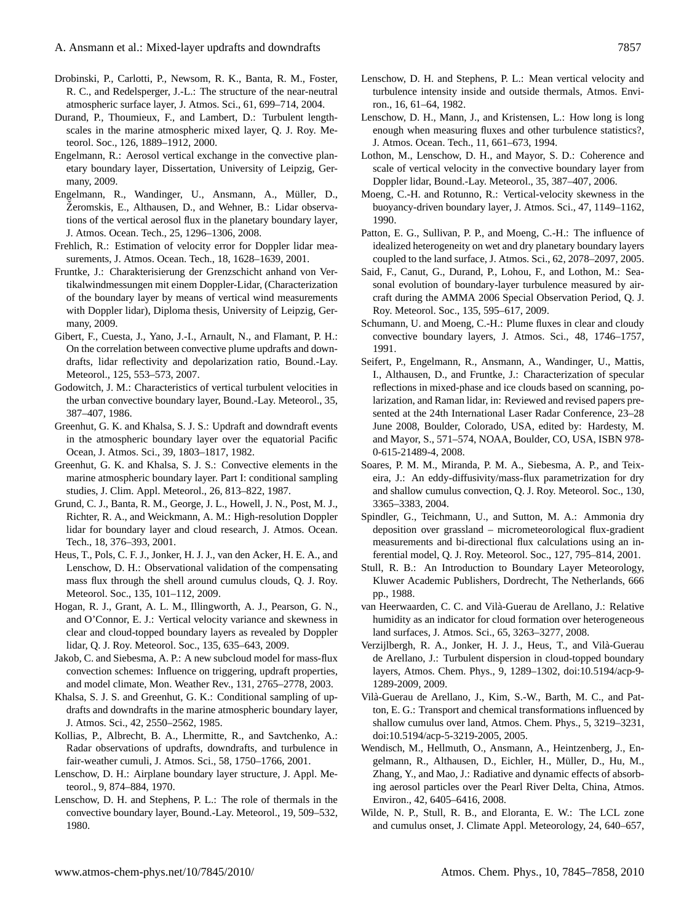- <span id="page-12-14"></span>Drobinski, P., Carlotti, P., Newsom, R. K., Banta, R. M., Foster, R. C., and Redelsperger, J.-L.: The structure of the near-neutral atmospheric surface layer, J. Atmos. Sci., 61, 699–714, 2004.
- <span id="page-12-11"></span>Durand, P., Thoumieux, F., and Lambert, D.: Turbulent lengthscales in the marine atmospheric mixed layer, Q. J. Roy. Meteorol. Soc., 126, 1889–1912, 2000.
- <span id="page-12-19"></span>Engelmann, R.: Aerosol vertical exchange in the convective planetary boundary layer, Dissertation, University of Leipzig, Germany, 2009.
- <span id="page-12-17"></span>Engelmann, R., Wandinger, U., Ansmann, A., Müller, D., Zeromskis, E., Althausen, D., and Wehner, B.: Lidar observations of the vertical aerosol flux in the planetary boundary layer, J. Atmos. Ocean. Tech., 25, 1296–1306, 2008.
- <span id="page-12-21"></span>Frehlich, R.: Estimation of velocity error for Doppler lidar measurements, J. Atmos. Ocean. Tech., 18, 1628–1639, 2001.
- <span id="page-12-22"></span>Fruntke, J.: Charakterisierung der Grenzschicht anhand von Vertikalwindmessungen mit einem Doppler-Lidar, (Characterization of the boundary layer by means of vertical wind measurements with Doppler lidar), Diploma thesis, University of Leipzig, Germany, 2009.
- <span id="page-12-16"></span>Gibert, F., Cuesta, J., Yano, J.-I., Arnault, N., and Flamant, P. H.: On the correlation between convective plume updrafts and downdrafts, lidar reflectivity and depolarization ratio, Bound.-Lay. Meteorol., 125, 553–573, 2007.
- <span id="page-12-10"></span>Godowitch, J. M.: Characteristics of vertical turbulent velocities in the urban convective boundary layer, Bound.-Lay. Meteorol., 35, 387–407, 1986.
- <span id="page-12-2"></span>Greenhut, G. K. and Khalsa, S. J. S.: Updraft and downdraft events in the atmospheric boundary layer over the equatorial Pacific Ocean, J. Atmos. Sci., 39, 1803–1817, 1982.
- <span id="page-12-3"></span>Greenhut, G. K. and Khalsa, S. J. S.: Convective elements in the marine atmospheric boundary layer. Part I: conditional sampling studies, J. Clim. Appl. Meteorol., 26, 813–822, 1987.
- <span id="page-12-13"></span>Grund, C. J., Banta, R. M., George, J. L., Howell, J. N., Post, M. J., Richter, R. A., and Weickmann, A. M.: High-resolution Doppler lidar for boundary layer and cloud research, J. Atmos. Ocean. Tech., 18, 376–393, 2001.
- <span id="page-12-31"></span>Heus, T., Pols, C. F. J., Jonker, H. J. J., van den Acker, H. E. A., and Lenschow, D. H.: Observational validation of the compensating mass flux through the shell around cumulus clouds, Q. J. Roy. Meteorol. Soc., 135, 101–112, 2009.
- <span id="page-12-18"></span>Hogan, R. J., Grant, A. L. M., Illingworth, A. J., Pearson, G. N., and O'Connor, E. J.: Vertical velocity variance and skewness in clear and cloud-topped boundary layers as revealed by Doppler lidar, Q. J. Roy. Meteorol. Soc., 135, 635–643, 2009.
- <span id="page-12-7"></span>Jakob, C. and Siebesma, A. P.: A new subcloud model for mass-flux convection schemes: Influence on triggering, updraft properties, and model climate, Mon. Weather Rev., 131, 2765–2778, 2003.
- <span id="page-12-4"></span>Khalsa, S. J. S. and Greenhut, G. K.: Conditional sampling of updrafts and downdrafts in the marine atmospheric boundary layer, J. Atmos. Sci., 42, 2550–2562, 1985.
- <span id="page-12-5"></span>Kollias, P., Albrecht, B. A., Lhermitte, R., and Savtchenko, A.: Radar observations of updrafts, downdrafts, and turbulence in fair-weather cumuli, J. Atmos. Sci., 58, 1750–1766, 2001.
- <span id="page-12-0"></span>Lenschow, D. H.: Airplane boundary layer structure, J. Appl. Meteorol., 9, 874–884, 1970.
- <span id="page-12-1"></span>Lenschow, D. H. and Stephens, P. L.: The role of thermals in the convective boundary layer, Bound.-Lay. Meteorol., 19, 509–532, 1980.
- <span id="page-12-26"></span>Lenschow, D. H. and Stephens, P. L.: Mean vertical velocity and turbulence intensity inside and outside thermals, Atmos. Environ., 16, 61–64, 1982.
- <span id="page-12-29"></span>Lenschow, D. H., Mann, J., and Kristensen, L.: How long is long enough when measuring fluxes and other turbulence statistics?, J. Atmos. Ocean. Tech., 11, 661–673, 1994.
- <span id="page-12-15"></span>Lothon, M., Lenschow, D. H., and Mayor, S. D.: Coherence and scale of vertical velocity in the convective boundary layer from Doppler lidar, Bound.-Lay. Meteorol., 35, 387–407, 2006.
- <span id="page-12-30"></span>Moeng, C.-H. and Rotunno, R.: Vertical-velocity skewness in the buoyancy-driven boundary layer, J. Atmos. Sci., 47, 1149–1162, 1990.
- <span id="page-12-23"></span>Patton, E. G., Sullivan, P. P., and Moeng, C.-H.: The influence of idealized heterogeneity on wet and dry planetary boundary layers coupled to the land surface, J. Atmos. Sci., 62, 2078–2097, 2005.
- <span id="page-12-12"></span>Said, F., Canut, G., Durand, P., Lohou, F., and Lothon, M.: Seasonal evolution of boundary-layer turbulence measured by aircraft during the AMMA 2006 Special Observation Period, Q. J. Roy. Meteorol. Soc., 135, 595–617, 2009.
- <span id="page-12-32"></span>Schumann, U. and Moeng, C.-H.: Plume fluxes in clear and cloudy convective boundary layers, J. Atmos. Sci., 48, 1746–1757, 1991.
- <span id="page-12-20"></span>Seifert, P., Engelmann, R., Ansmann, A., Wandinger, U., Mattis, I., Althausen, D., and Fruntke, J.: Characterization of specular reflections in mixed-phase and ice clouds based on scanning, polarization, and Raman lidar, in: Reviewed and revised papers presented at the 24th International Laser Radar Conference, 23–28 June 2008, Boulder, Colorado, USA, edited by: Hardesty, M. and Mayor, S., 571–574, NOAA, Boulder, CO, USA, ISBN 978- 0-615-21489-4, 2008.
- <span id="page-12-8"></span>Soares, P. M. M., Miranda, P. M. A., Siebesma, A. P., and Teixeira, J.: An eddy-diffusivity/mass-flux parametrization for dry and shallow cumulus convection, Q. J. Roy. Meteorol. Soc., 130, 3365–3383, 2004.
- <span id="page-12-27"></span>Spindler, G., Teichmann, U., and Sutton, M. A.: Ammonia dry deposition over grassland – micrometeorological flux-gradient measurements and bi-directional flux calculations using an inferential model, Q. J. Roy. Meteorol. Soc., 127, 795–814, 2001.
- <span id="page-12-25"></span>Stull, R. B.: An Introduction to Boundary Layer Meteorology, Kluwer Academic Publishers, Dordrecht, The Netherlands, 666 pp., 1988.
- <span id="page-12-24"></span>van Heerwaarden, C. C. and Vila-Guerau de Arellano, J.: Relative ` humidity as an indicator for cloud formation over heterogeneous land surfaces, J. Atmos. Sci., 65, 3263–3277, 2008.
- <span id="page-12-9"></span>Verzijlbergh, R. A., Jonker, H. J. J., Heus, T., and Vilà-Guerau de Arellano, J.: Turbulent dispersion in cloud-topped boundary layers, Atmos. Chem. Phys., 9, 1289–1302, doi:10.5194/acp-9- 1289-2009, 2009.
- <span id="page-12-6"></span>Vila-Guerau de Arellano, J., Kim, S.-W., Barth, M. C., and Pat- ` ton, E. G.: Transport and chemical transformations influenced by shallow cumulus over land, Atmos. Chem. Phys., 5, 3219–3231, doi:10.5194/acp-5-3219-2005, 2005.
- <span id="page-12-28"></span>Wendisch, M., Hellmuth, O., Ansmann, A., Heintzenberg, J., Engelmann, R., Althausen, D., Eichler, H., Müller, D., Hu, M., Zhang, Y., and Mao, J.: Radiative and dynamic effects of absorbing aerosol particles over the Pearl River Delta, China, Atmos. Environ., 42, 6405–6416, 2008.
- <span id="page-12-33"></span>Wilde, N. P., Stull, R. B., and Eloranta, E. W.: The LCL zone and cumulus onset, J. Climate Appl. Meteorology, 24, 640–657,